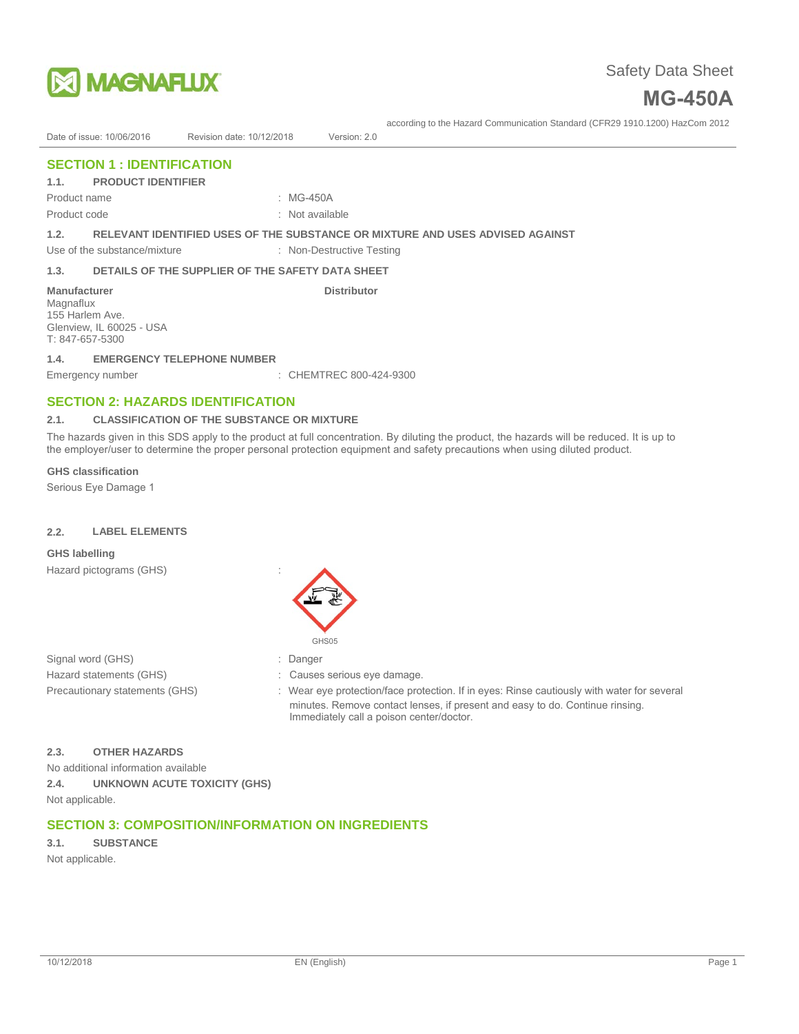



# Date of issue: 10/06/2016 Revision date: 10/12/2018 Version: 2.0

# **SECTION 1 : IDENTIFICATION**

# **1.1. PRODUCT IDENTIFIER**

Product name

: MG-450A

Product code

#### : Not available

**1.2. RELEVANT IDENTIFIED USES OF THE SUBSTANCE OR MIXTURE AND USES ADVISED AGAINST**

Use of the substance/mixture : Non-Destructive Testing

# **1.3. DETAILS OF THE SUPPLIER OF THE SAFETY DATA SHEET**

#### **Manufacturer Community Community Community Community Distributor**

Magnaflux 155 Harlem Ave. Glenview, IL 60025 - USA T: 847-657-5300

#### **1.4. EMERGENCY TELEPHONE NUMBER**

Emergency number : CHEMTREC 800-424-9300

# **SECTION 2: HAZARDS IDENTIFICATION**

#### **2.1. CLASSIFICATION OF THE SUBSTANCE OR MIXTURE**

The hazards given in this SDS apply to the product at full concentration. By diluting the product, the hazards will be reduced. It is up to the employer/user to determine the proper personal protection equipment and safety precautions when using diluted product.

### **GHS classification**

Serious Eye Damage 1

### **2.2. LABEL ELEMENTS**

#### **GHS labelling**

Hazard pictograms (GHS) :



Signal word (GHS) Hazard statements (GHS) Precautionary statements (GHS)

- : Danger
- Causes serious eye damage.
- : Wear eye protection/face protection. If in eyes: Rinse cautiously with water for several minutes. Remove contact lenses, if present and easy to do. Continue rinsing. Immediately call a poison center/doctor.

### **2.3. OTHER HAZARDS**

No additional information available **2.4. UNKNOWN ACUTE TOXICITY (GHS)** Not applicable.

# **SECTION 3: COMPOSITION/INFORMATION ON INGREDIENTS**

**3.1. SUBSTANCE**

Not applicable.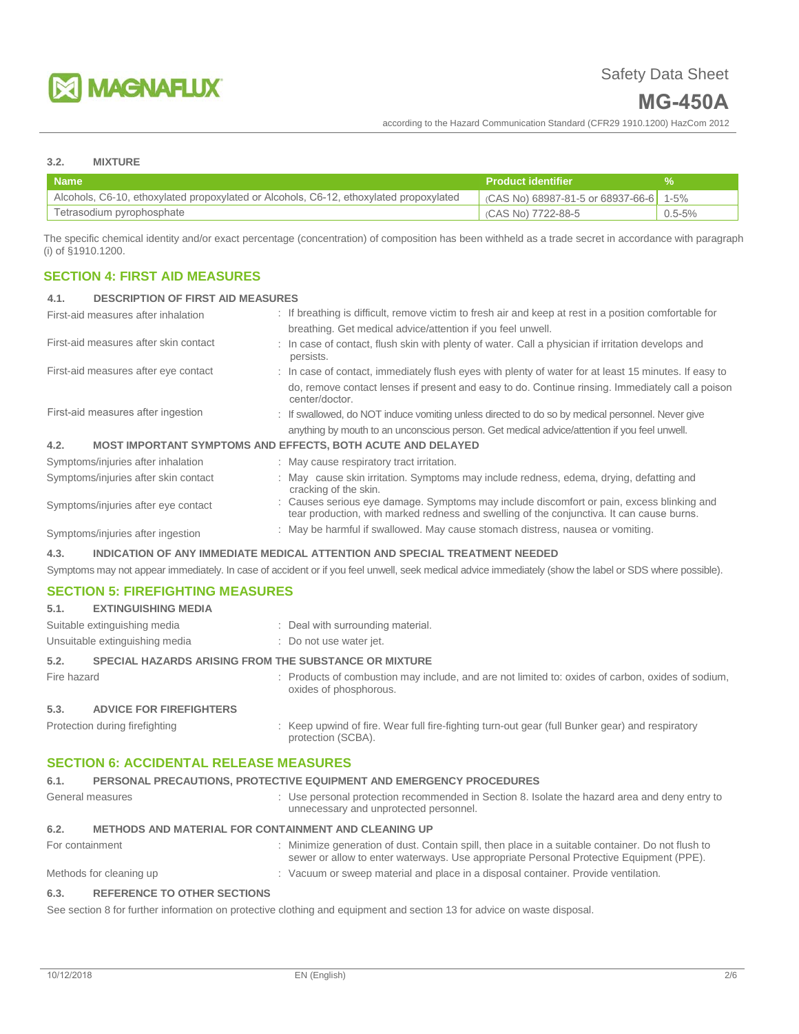

# **MG-450A**

according to the Hazard Communication Standard (CFR29 1910.1200) HazCom 2012

### **3.2. MIXTURE**

| <b>Name</b>                                                                            | <b>Product identifier</b>                |             |
|----------------------------------------------------------------------------------------|------------------------------------------|-------------|
| Alcohols, C6-10, ethoxylated propoxylated or Alcohols, C6-12, ethoxylated propoxylated | $(CAS No) 68987-81-5$ or 68937-66-6 1-5% |             |
| Tetrasodium pyrophosphate                                                              | (CAS No) 7722-88-5                       | $0.5 - 5\%$ |

The specific chemical identity and/or exact percentage (concentration) of composition has been withheld as a trade secret in accordance with paragraph (i) of §1910.1200.

# **SECTION 4: FIRST AID MEASURES**

#### **4.1. DESCRIPTION OF FIRST AID MEASURES**

| : If breathing is difficult, remove victim to fresh air and keep at rest in a position comfortable for<br>First-aid measures after inhalation |                                                                                                                                                                                        |  |  |
|-----------------------------------------------------------------------------------------------------------------------------------------------|----------------------------------------------------------------------------------------------------------------------------------------------------------------------------------------|--|--|
|                                                                                                                                               | breathing. Get medical advice/attention if you feel unwell.                                                                                                                            |  |  |
| First-aid measures after skin contact                                                                                                         | : In case of contact, flush skin with plenty of water. Call a physician if irritation develops and<br>persists.                                                                        |  |  |
| First-aid measures after eye contact                                                                                                          | : In case of contact, immediately flush eyes with plenty of water for at least 15 minutes. If easy to                                                                                  |  |  |
|                                                                                                                                               | do, remove contact lenses if present and easy to do. Continue rinsing. Immediately call a poison<br>center/doctor.                                                                     |  |  |
| First-aid measures after ingestion                                                                                                            | : If swallowed, do NOT induce vomiting unless directed to do so by medical personnel. Never give                                                                                       |  |  |
|                                                                                                                                               | anything by mouth to an unconscious person. Get medical advice/attention if you feel unwell.                                                                                           |  |  |
| 4.2.                                                                                                                                          | <b>MOST IMPORTANT SYMPTOMS AND EFFECTS, BOTH ACUTE AND DELAYED</b>                                                                                                                     |  |  |
| Symptoms/injuries after inhalation                                                                                                            | : May cause respiratory tract irritation.                                                                                                                                              |  |  |
| Symptoms/injuries after skin contact                                                                                                          | : May cause skin irritation. Symptoms may include redness, edema, drying, defatting and<br>cracking of the skin.                                                                       |  |  |
| Symptoms/injuries after eye contact                                                                                                           | : Causes serious eye damage. Symptoms may include discomfort or pain, excess blinking and<br>tear production, with marked redness and swelling of the conjunctiva. It can cause burns. |  |  |
| Symptoms/injuries after ingestion                                                                                                             | : May be harmful if swallowed. May cause stomach distress, nausea or vomiting.                                                                                                         |  |  |
| INDICATION OF ANY IMMEDIATE MEDICAL ATTENTION AND SPECIAL TREATMENT NEEDED<br>4.3.                                                            |                                                                                                                                                                                        |  |  |

Symptoms may not appear immediately. In case of accident or if you feel unwell, seek medical advice immediately (show the label or SDS where possible).

# **SECTION 5: FIREFIGHTING MEASURES**

|             | Suitable extinguishing media                                 | : Deal with surrounding material.   |
|-------------|--------------------------------------------------------------|-------------------------------------|
|             | Unsuitable extinguishing media                               | : Do not use water jet.             |
| 5.2.        | <b>SPECIAL HAZARDS ARISING FROM THE SUBSTANCE OR MIXTURE</b> |                                     |
| Fire hazard |                                                              | · Producte of combuetion may includ |

Fire hazard state of the Products of combustion may include, and are not limited to: oxides of carbon, oxides of sodium, oxides of phosphorous.

#### **5.3. ADVICE FOR FIREFIGHTERS**

**5.1. EXTINGUISHING MEDIA**

Protection during firefighting **intum** : Keep upwind of fire. Wear full fire-fighting turn-out gear (full Bunker gear) and respiratory protection (SCBA).

# **SECTION 6: ACCIDENTAL RELEASE MEASURES**

# **6.1. PERSONAL PRECAUTIONS, PROTECTIVE EQUIPMENT AND EMERGENCY PROCEDURES**

| General measures | : Use personal protection recommended in Section 8. Isolate the hazard area and deny entry to |
|------------------|-----------------------------------------------------------------------------------------------|
|                  | unnecessary and unprotected personnel.                                                        |

# **6.2. METHODS AND MATERIAL FOR CONTAINMENT AND CLEANING UP**

| For containment |                             | : Minimize generation of dust. Contain spill, then place in a suitable container. Do not flush to<br>sewer or allow to enter waterways. Use appropriate Personal Protective Equipment (PPE). |
|-----------------|-----------------------------|----------------------------------------------------------------------------------------------------------------------------------------------------------------------------------------------|
|                 | Methods for cleaning up     | : Vacuum or sweep material and place in a disposal container. Provide ventilation.                                                                                                           |
| 6.3.            | REFERENCE TO OTHER SECTIONS |                                                                                                                                                                                              |

#### See section 8 for further information on protective clothing and equipment and section 13 for advice on waste disposal.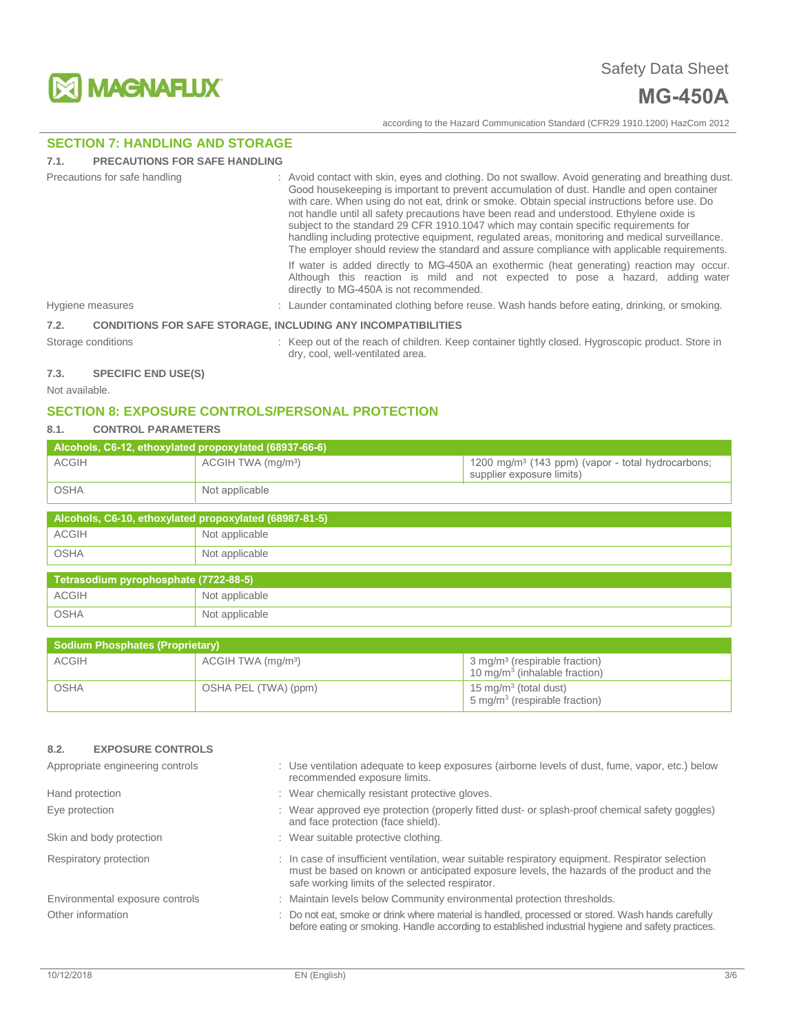

# **SECTION 7: HANDLING AND STORAGE**

#### **7.1. PRECAUTIONS FOR SAFE HANDLING**

| Precautions for safe handling |                  | : Avoid contact with skin, eyes and clothing. Do not swallow. Avoid generating and breathing dust.<br>Good housekeeping is important to prevent accumulation of dust. Handle and open container<br>with care. When using do not eat, drink or smoke. Obtain special instructions before use. Do<br>not handle until all safety precautions have been read and understood. Ethylene oxide is<br>subject to the standard 29 CFR 1910.1047 which may contain specific requirements for<br>handling including protective equipment, regulated areas, monitoring and medical surveillance.<br>The employer should review the standard and assure compliance with applicable requirements. |
|-------------------------------|------------------|--------------------------------------------------------------------------------------------------------------------------------------------------------------------------------------------------------------------------------------------------------------------------------------------------------------------------------------------------------------------------------------------------------------------------------------------------------------------------------------------------------------------------------------------------------------------------------------------------------------------------------------------------------------------------------------|
|                               |                  | If water is added directly to MG-450A an exothermic (heat generating) reaction may occur.<br>Although this reaction is mild and not expected to pose a hazard, adding water<br>directly to MG-450A is not recommended.                                                                                                                                                                                                                                                                                                                                                                                                                                                               |
|                               | Hygiene measures | : Launder contaminated clothing before reuse. Wash hands before eating, drinking, or smoking.                                                                                                                                                                                                                                                                                                                                                                                                                                                                                                                                                                                        |
| 7.2.                          |                  | <b>CONDITIONS FOR SAFE STORAGE. INCLUDING ANY INCOMPATIBILITIES</b>                                                                                                                                                                                                                                                                                                                                                                                                                                                                                                                                                                                                                  |
| Storage conditions            |                  | : Keep out of the reach of children. Keep container tightly closed. Hygroscopic product. Store in<br>dry, cool, well-ventilated area.                                                                                                                                                                                                                                                                                                                                                                                                                                                                                                                                                |

# **7.3. SPECIFIC END USE(S)**

Not available.

# **SECTION 8: EXPOSURE CONTROLS/PERSONAL PROTECTION**

## **8.1. CONTROL PARAMETERS**

| Alcohols, C6-12, ethoxylated propoxylated (68937-66-6) |                                |                                                                                              |  |  |  |
|--------------------------------------------------------|--------------------------------|----------------------------------------------------------------------------------------------|--|--|--|
| <b>ACGIH</b>                                           | ACGIH TWA (mg/m <sup>3</sup> ) | $1200$ mg/m <sup>3</sup> (143 ppm) (vapor - total hydrocarbons;<br>supplier exposure limits) |  |  |  |
| <b>OSHA</b>                                            | Not applicable                 |                                                                                              |  |  |  |

| Alcohols, C6-10, ethoxylated propoxylated (68987-81-5) |                |  |  |
|--------------------------------------------------------|----------------|--|--|
| ACGIH                                                  | Not applicable |  |  |
| OSHA                                                   | Not applicable |  |  |
| Tetrasodium pyrophosphate (7722-88-5)                  |                |  |  |

| <b>ACGIH</b> | Not applicable |
|--------------|----------------|
| OSHA         | Not applicable |

| <b>Sodium Phosphates (Proprietary)</b> |                                |                                                                                               |  |  |
|----------------------------------------|--------------------------------|-----------------------------------------------------------------------------------------------|--|--|
| <b>ACGIH</b>                           | ACGIH TWA (mg/m <sup>3</sup> ) | $\frac{3 \text{ mg}}{m^3}$ (respirable fraction)<br>10 mg/m <sup>3</sup> (inhalable fraction) |  |  |
| <b>OSHA</b>                            | OSHA PEL (TWA) (ppm)           | 15 mg/m <sup>3</sup> (total dust)<br>5 mg/m <sup>3</sup> (respirable fraction)                |  |  |

# **8.2. EXPOSURE CONTROLS**

| Appropriate engineering controls | : Use ventilation adequate to keep exposures (airborne levels of dust, fume, vapor, etc.) below<br>recommended exposure limits.                                                                                                                  |
|----------------------------------|--------------------------------------------------------------------------------------------------------------------------------------------------------------------------------------------------------------------------------------------------|
| Hand protection                  | : Wear chemically resistant protective gloves.                                                                                                                                                                                                   |
| Eye protection                   | : Wear approved eye protection (properly fitted dust- or splash-proof chemical safety goggles)<br>and face protection (face shield).                                                                                                             |
| Skin and body protection         | : Wear suitable protective clothing.                                                                                                                                                                                                             |
| Respiratory protection           | : In case of insufficient ventilation, wear suitable respiratory equipment. Respirator selection<br>must be based on known or anticipated exposure levels, the hazards of the product and the<br>safe working limits of the selected respirator. |
| Environmental exposure controls  | : Maintain levels below Community environmental protection thresholds.                                                                                                                                                                           |
| Other information                | : Do not eat, smoke or drink where material is handled, processed or stored. Wash hands carefully<br>before eating or smoking. Handle according to established industrial hygiene and safety practices.                                          |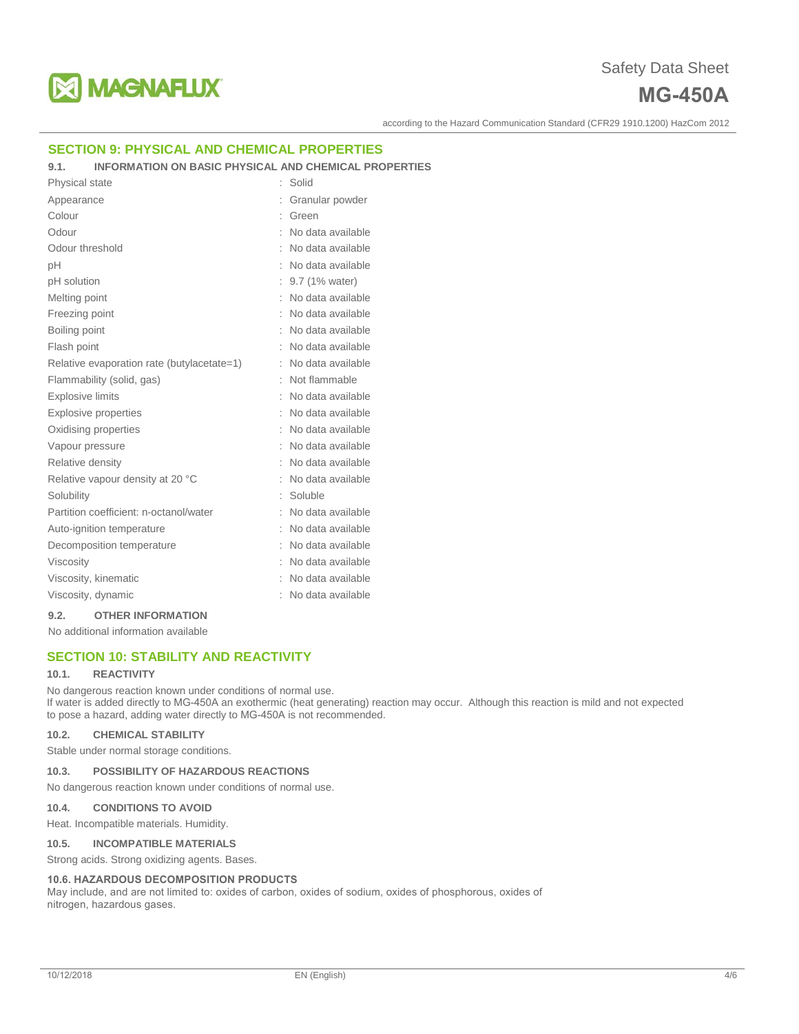

# **SECTION 9: PHYSICAL AND CHEMICAL PROPERTIES**

### **9.1. INFORMATION ON BASIC PHYSICAL AND CHEMICAL PROPERTIES**

| Physical state                             |   | Solid               |
|--------------------------------------------|---|---------------------|
| Appearance                                 |   | Granular powder     |
| Colour                                     |   | Green               |
| Odour                                      |   | No data available   |
| Odour threshold                            |   | No data available   |
| pH                                         |   | No data available   |
| pH solution                                |   | 9.7 (1% water)      |
| Melting point                              |   | No data available   |
| Freezing point                             |   | No data available   |
| Boiling point                              |   | No data available   |
| Flash point                                |   | No data available   |
| Relative evaporation rate (butylacetate=1) | ÷ | No data available   |
| Flammability (solid, gas)                  |   | Not flammable       |
| <b>Explosive limits</b>                    |   | No data available   |
| <b>Explosive properties</b>                |   | No data available   |
| Oxidising properties                       |   | : No data available |
| Vapour pressure                            |   | No data available   |
| Relative density                           | ÷ | No data available   |
| Relative vapour density at 20 °C           |   | No data available   |
| Solubility                                 |   | Soluble             |
| Partition coefficient: n-octanol/water     |   | No data available   |
| Auto-ignition temperature                  |   | No data available   |
| Decomposition temperature                  |   | No data available   |
| Viscosity                                  |   | : No data available |
| Viscosity, kinematic                       |   | No data available   |
| Viscosity, dynamic                         |   | No data available   |

#### **9.2. OTHER INFORMATION**

No additional information available

# **SECTION 10: STABILITY AND REACTIVITY**

#### **10.1. REACTIVITY**

No dangerous reaction known under conditions of normal use. If water is added directly to MG-450A an exothermic (heat generating) reaction may occur. Although this reaction is mild and not expected to pose a hazard, adding water directly to MG-450A is not recommended.

### **10.2. CHEMICAL STABILITY**

Stable under normal storage conditions.

#### **10.3. POSSIBILITY OF HAZARDOUS REACTIONS**

No dangerous reaction known under conditions of normal use.

#### **10.4. CONDITIONS TO AVOID**

Heat. Incompatible materials. Humidity.

#### **10.5. INCOMPATIBLE MATERIALS**

Strong acids. Strong oxidizing agents. Bases.

#### **10.6. HAZARDOUS DECOMPOSITION PRODUCTS**

May include, and are not limited to: oxides of carbon, oxides of sodium, oxides of phosphorous, oxides of nitrogen, hazardous gases.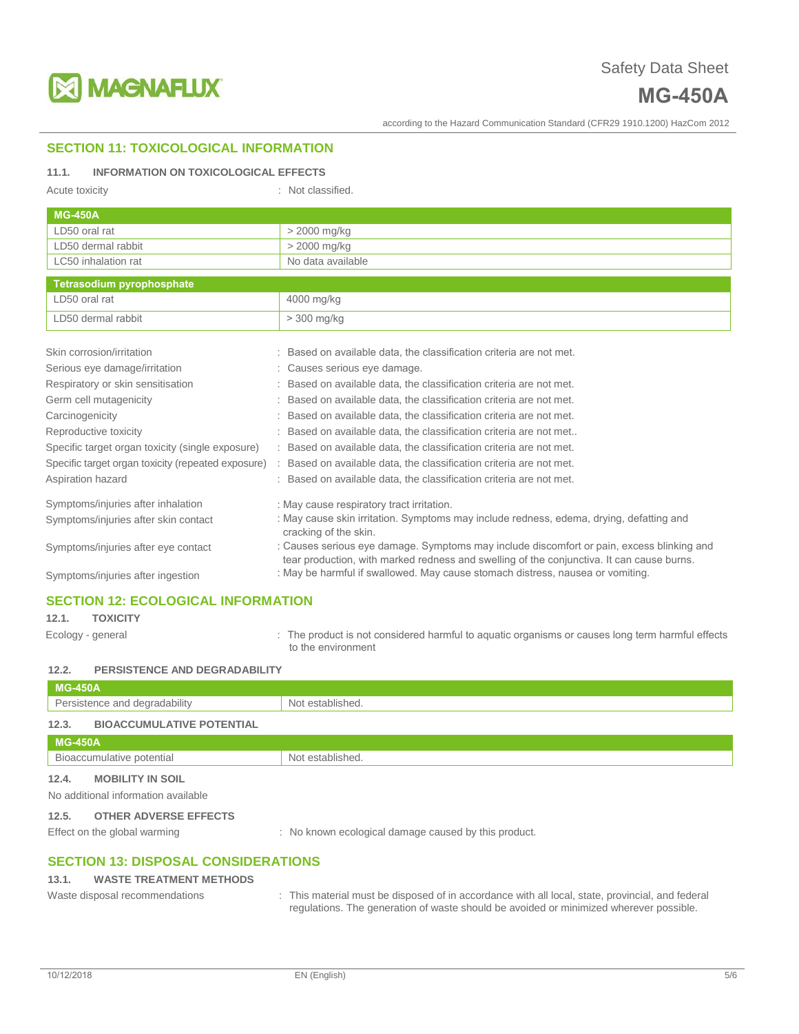

# **SECTION 11: TOXICOLOGICAL INFORMATION**

### **11.1. INFORMATION ON TOXICOLOGICAL EFFECTS**

| Acute toxicity                                     | : Not classified.                                                                                                                                                                      |
|----------------------------------------------------|----------------------------------------------------------------------------------------------------------------------------------------------------------------------------------------|
| <b>MG-450A</b>                                     |                                                                                                                                                                                        |
| LD50 oral rat                                      | > 2000 mg/kg                                                                                                                                                                           |
| LD50 dermal rabbit                                 | > 2000 mg/kg                                                                                                                                                                           |
| LC50 inhalation rat                                | No data available                                                                                                                                                                      |
| <b>Tetrasodium pyrophosphate</b>                   |                                                                                                                                                                                        |
| LD50 oral rat                                      | 4000 mg/kg                                                                                                                                                                             |
| LD50 dermal rabbit                                 | $>$ 300 mg/kg                                                                                                                                                                          |
| Skin corrosion/irritation                          | Based on available data, the classification criteria are not met.                                                                                                                      |
| Serious eye damage/irritation                      | Causes serious eye damage.                                                                                                                                                             |
| Respiratory or skin sensitisation                  | Based on available data, the classification criteria are not met.                                                                                                                      |
| Germ cell mutagenicity                             | Based on available data, the classification criteria are not met.                                                                                                                      |
| Carcinogenicity                                    | Based on available data, the classification criteria are not met.                                                                                                                      |
| Reproductive toxicity                              | Based on available data, the classification criteria are not met                                                                                                                       |
| Specific target organ toxicity (single exposure)   | Based on available data, the classification criteria are not met.                                                                                                                      |
| Specific target organ toxicity (repeated exposure) | Based on available data, the classification criteria are not met.                                                                                                                      |
| Aspiration hazard                                  | : Based on available data, the classification criteria are not met.                                                                                                                    |
| Symptoms/injuries after inhalation                 | : May cause respiratory tract irritation.                                                                                                                                              |
| Symptoms/injuries after skin contact               | : May cause skin irritation. Symptoms may include redness, edema, drying, defatting and<br>cracking of the skin.                                                                       |
| Symptoms/injuries after eye contact                | : Causes serious eye damage. Symptoms may include discomfort or pain, excess blinking and<br>tear production, with marked redness and swelling of the conjunctiva. It can cause burns. |
| Symptoms/injuries after ingestion                  | : May be harmful if swallowed. May cause stomach distress, nausea or vomiting.                                                                                                         |

# **SECTION 12: ECOLOGICAL INFORMATION**

**12.1. TOXICITY**

Ecology - general **interproduct is not considered harmful to aquatic organisms or causes long term harmful effects** to the environment

### **12.2. PERSISTENCE AND DEGRADABILITY**

| <b>MG-450A</b>                                                          |                                                      |
|-------------------------------------------------------------------------|------------------------------------------------------|
| Persistence and degradability                                           | Not established.                                     |
| 12.3.<br><b>BIOACCUMULATIVE POTENTIAL</b>                               |                                                      |
| <b>MG-450A</b>                                                          |                                                      |
| Bioaccumulative potential                                               | Not established.                                     |
| 12.4.<br><b>MOBILITY IN SOIL</b><br>No additional information available |                                                      |
| <b>OTHER ADVERSE EFFECTS</b><br>12.5.<br>Effect on the global warming   | : No known ecological damage caused by this product. |

# **SECTION 13: DISPOSAL CONSIDERATIONS**

#### **13.1. WASTE TREATMENT METHODS**

- 
- Waste disposal recommendations : This material must be disposed of in accordance with all local, state, provincial, and federal regulations. The generation of waste should be avoided or minimized wherever possible.